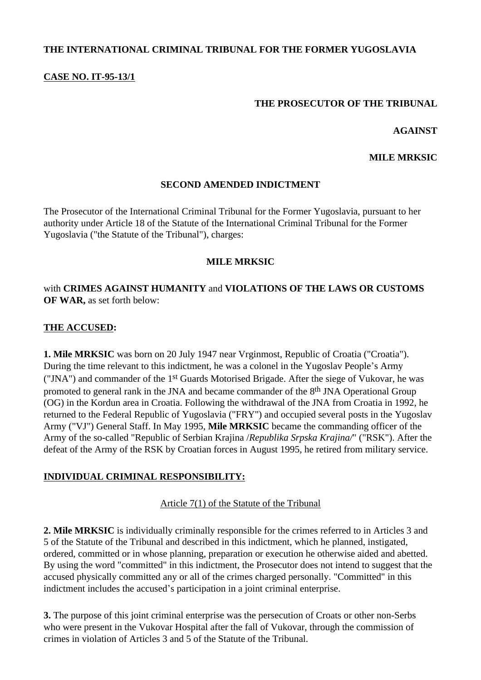# **THE INTERNATIONAL CRIMINAL TRIBUNAL FOR THE FORMER YUGOSLAVIA**

## **CASE NO. IT-95-13/1**

## **THE PROSECUTOR OF THE TRIBUNAL**

#### **AGAINST**

#### **MILE MRKSIC**

## **SECOND AMENDED INDICTMENT**

The Prosecutor of the International Criminal Tribunal for the Former Yugoslavia, pursuant to her authority under Article 18 of the Statute of the International Criminal Tribunal for the Former Yugoslavia ("the Statute of the Tribunal"), charges:

## **MILE MRKSIC**

# with **CRIMES AGAINST HUMANITY** and **VIOLATIONS OF THE LAWS OR CUSTOMS OF WAR,** as set forth below:

## **THE ACCUSED:**

**1. Mile MRKSIC** was born on 20 July 1947 near Vrginmost, Republic of Croatia ("Croatia"). During the time relevant to this indictment, he was a colonel in the Yugoslav People's Army ("JNA") and commander of the 1st Guards Motorised Brigade. After the siege of Vukovar, he was promoted to general rank in the JNA and became commander of the 8th JNA Operational Group (OG) in the Kordun area in Croatia. Following the withdrawal of the JNA from Croatia in 1992, he returned to the Federal Republic of Yugoslavia ("FRY") and occupied several posts in the Yugoslav Army ("VJ") General Staff. In May 1995, **Mile MRKSIC** became the commanding officer of the Army of the so-called "Republic of Serbian Krajina /*Republika Srpska Krajina/*" ("RSK"). After the defeat of the Army of the RSK by Croatian forces in August 1995, he retired from military service.

## **INDIVIDUAL CRIMINAL RESPONSIBILITY:**

#### Article 7(1) of the Statute of the Tribunal

**2. Mile MRKSIC** is individually criminally responsible for the crimes referred to in Articles 3 and 5 of the Statute of the Tribunal and described in this indictment, which he planned, instigated, ordered, committed or in whose planning, preparation or execution he otherwise aided and abetted. By using the word "committed" in this indictment, the Prosecutor does not intend to suggest that the accused physically committed any or all of the crimes charged personally. "Committed" in this indictment includes the accused's participation in a joint criminal enterprise.

**3.** The purpose of this joint criminal enterprise was the persecution of Croats or other non-Serbs who were present in the Vukovar Hospital after the fall of Vukovar, through the commission of crimes in violation of Articles 3 and 5 of the Statute of the Tribunal.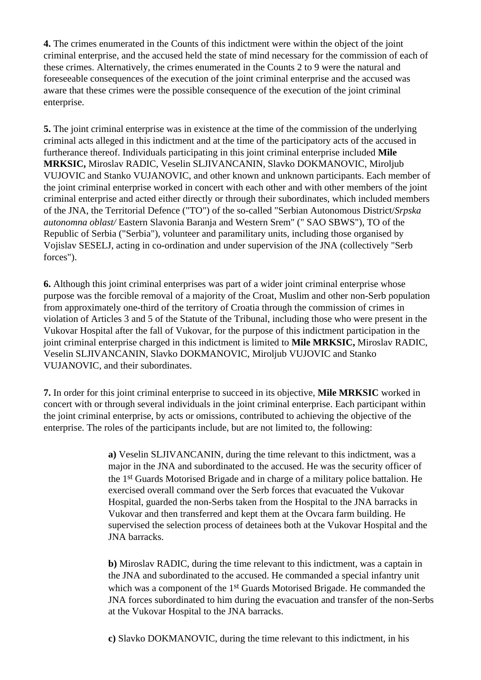**4.** The crimes enumerated in the Counts of this indictment were within the object of the joint criminal enterprise, and the accused held the state of mind necessary for the commission of each of these crimes. Alternatively, the crimes enumerated in the Counts 2 to 9 were the natural and foreseeable consequences of the execution of the joint criminal enterprise and the accused was aware that these crimes were the possible consequence of the execution of the joint criminal enterprise.

**5.** The joint criminal enterprise was in existence at the time of the commission of the underlying criminal acts alleged in this indictment and at the time of the participatory acts of the accused in furtherance thereof. Individuals participating in this joint criminal enterprise included **Mile MRKSIC,** Miroslav RADIC, Veselin SLJIVANCANIN, Slavko DOKMANOVIC, Miroljub VUJOVIC and Stanko VUJANOVIC, and other known and unknown participants. Each member of the joint criminal enterprise worked in concert with each other and with other members of the joint criminal enterprise and acted either directly or through their subordinates, which included members of the JNA, the Territorial Defence ("TO") of the so-called "Serbian Autonomous District/*Srpska autonomna oblast/* Eastern Slavonia Baranja and Western Srem" (" SAO SBWS"), TO of the Republic of Serbia ("Serbia"), volunteer and paramilitary units, including those organised by Vojislav SESELJ, acting in co-ordination and under supervision of the JNA (collectively "Serb forces").

**6.** Although this joint criminal enterprises was part of a wider joint criminal enterprise whose purpose was the forcible removal of a majority of the Croat, Muslim and other non-Serb population from approximately one-third of the territory of Croatia through the commission of crimes in violation of Articles 3 and 5 of the Statute of the Tribunal, including those who were present in the Vukovar Hospital after the fall of Vukovar, for the purpose of this indictment participation in the joint criminal enterprise charged in this indictment is limited to **Mile MRKSIC,** Miroslav RADIC, Veselin SLJIVANCANIN, Slavko DOKMANOVIC, Miroljub VUJOVIC and Stanko VUJANOVIC, and their subordinates.

**7.** In order for this joint criminal enterprise to succeed in its objective, **Mile MRKSIC** worked in concert with or through several individuals in the joint criminal enterprise. Each participant within the joint criminal enterprise, by acts or omissions, contributed to achieving the objective of the enterprise. The roles of the participants include, but are not limited to, the following:

> **a)** Veselin SLJIVANCANIN, during the time relevant to this indictment, was a major in the JNA and subordinated to the accused. He was the security officer of the 1st Guards Motorised Brigade and in charge of a military police battalion. He exercised overall command over the Serb forces that evacuated the Vukovar Hospital, guarded the non-Serbs taken from the Hospital to the JNA barracks in Vukovar and then transferred and kept them at the Ovcara farm building. He supervised the selection process of detainees both at the Vukovar Hospital and the JNA barracks.

**b)** Miroslav RADIC, during the time relevant to this indictment, was a captain in the JNA and subordinated to the accused. He commanded a special infantry unit which was a component of the 1st Guards Motorised Brigade. He commanded the JNA forces subordinated to him during the evacuation and transfer of the non-Serbs at the Vukovar Hospital to the JNA barracks.

**c)** Slavko DOKMANOVIC, during the time relevant to this indictment, in his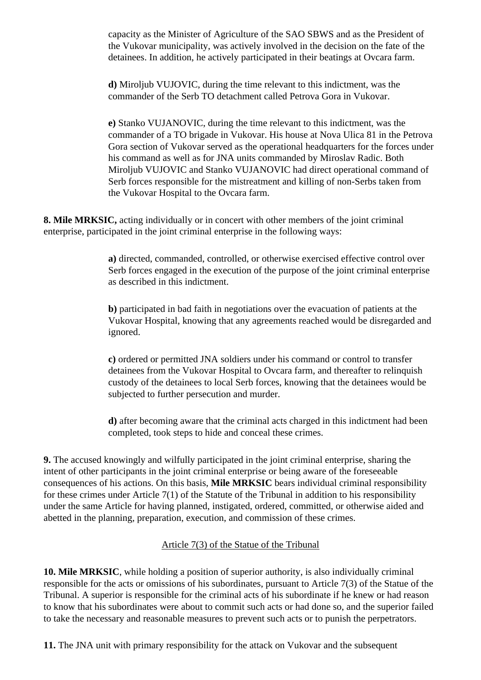capacity as the Minister of Agriculture of the SAO SBWS and as the President of the Vukovar municipality, was actively involved in the decision on the fate of the detainees. In addition, he actively participated in their beatings at Ovcara farm.

**d)** Miroljub VUJOVIC, during the time relevant to this indictment, was the commander of the Serb TO detachment called Petrova Gora in Vukovar.

**e)** Stanko VUJANOVIC, during the time relevant to this indictment, was the commander of a TO brigade in Vukovar. His house at Nova Ulica 81 in the Petrova Gora section of Vukovar served as the operational headquarters for the forces under his command as well as for JNA units commanded by Miroslav Radic. Both Miroljub VUJOVIC and Stanko VUJANOVIC had direct operational command of Serb forces responsible for the mistreatment and killing of non-Serbs taken from the Vukovar Hospital to the Ovcara farm.

**8. Mile MRKSIC,** acting individually or in concert with other members of the joint criminal enterprise, participated in the joint criminal enterprise in the following ways:

> **a)** directed, commanded, controlled, or otherwise exercised effective control over Serb forces engaged in the execution of the purpose of the joint criminal enterprise as described in this indictment.

> **b)** participated in bad faith in negotiations over the evacuation of patients at the Vukovar Hospital, knowing that any agreements reached would be disregarded and ignored.

**c)** ordered or permitted JNA soldiers under his command or control to transfer detainees from the Vukovar Hospital to Ovcara farm, and thereafter to relinquish custody of the detainees to local Serb forces, knowing that the detainees would be subjected to further persecution and murder.

**d)** after becoming aware that the criminal acts charged in this indictment had been completed, took steps to hide and conceal these crimes.

**9.** The accused knowingly and wilfully participated in the joint criminal enterprise, sharing the intent of other participants in the joint criminal enterprise or being aware of the foreseeable consequences of his actions. On this basis, **Mile MRKSIC** bears individual criminal responsibility for these crimes under Article 7(1) of the Statute of the Tribunal in addition to his responsibility under the same Article for having planned, instigated, ordered, committed, or otherwise aided and abetted in the planning, preparation, execution, and commission of these crimes.

# Article 7(3) of the Statue of the Tribunal

**10. Mile MRKSIC**, while holding a position of superior authority, is also individually criminal responsible for the acts or omissions of his subordinates, pursuant to Article 7(3) of the Statue of the Tribunal. A superior is responsible for the criminal acts of his subordinate if he knew or had reason to know that his subordinates were about to commit such acts or had done so, and the superior failed to take the necessary and reasonable measures to prevent such acts or to punish the perpetrators.

**11.** The JNA unit with primary responsibility for the attack on Vukovar and the subsequent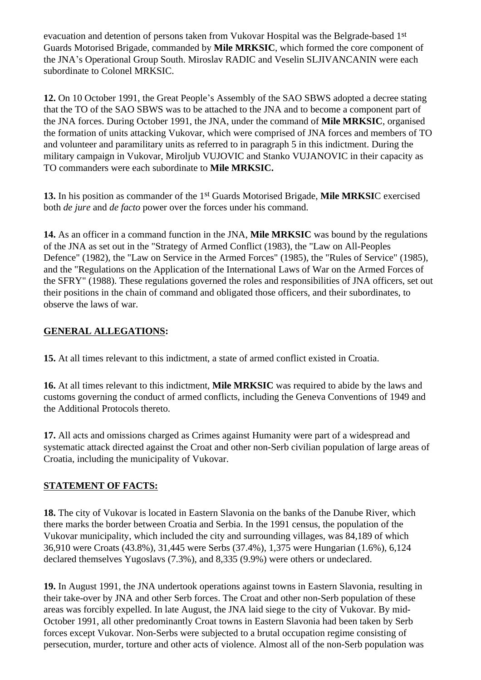evacuation and detention of persons taken from Vukovar Hospital was the Belgrade-based 1st Guards Motorised Brigade, commanded by **Mile MRKSIC**, which formed the core component of the JNA's Operational Group South. Miroslav RADIC and Veselin SLJIVANCANIN were each subordinate to Colonel MRKSIC.

**12.** On 10 October 1991, the Great People's Assembly of the SAO SBWS adopted a decree stating that the TO of the SAO SBWS was to be attached to the JNA and to become a component part of the JNA forces. During October 1991, the JNA, under the command of **Mile MRKSIC**, organised the formation of units attacking Vukovar, which were comprised of JNA forces and members of TO and volunteer and paramilitary units as referred to in paragraph 5 in this indictment. During the military campaign in Vukovar, Miroljub VUJOVIC and Stanko VUJANOVIC in their capacity as TO commanders were each subordinate to **Mile MRKSIC.**

**13.** In his position as commander of the 1st Guards Motorised Brigade, **Mile MRKSI**C exercised both *de jure* and *de facto* power over the forces under his command.

**14.** As an officer in a command function in the JNA, **Mile MRKSIC** was bound by the regulations of the JNA as set out in the "Strategy of Armed Conflict (1983), the "Law on All-Peoples Defence" (1982), the "Law on Service in the Armed Forces" (1985), the "Rules of Service" (1985), and the "Regulations on the Application of the International Laws of War on the Armed Forces of the SFRY" (1988). These regulations governed the roles and responsibilities of JNA officers, set out their positions in the chain of command and obligated those officers, and their subordinates, to observe the laws of war.

# **GENERAL ALLEGATIONS:**

**15.** At all times relevant to this indictment, a state of armed conflict existed in Croatia.

**16.** At all times relevant to this indictment, **Mile MRKSIC** was required to abide by the laws and customs governing the conduct of armed conflicts, including the Geneva Conventions of 1949 and the Additional Protocols thereto.

**17.** All acts and omissions charged as Crimes against Humanity were part of a widespread and systematic attack directed against the Croat and other non-Serb civilian population of large areas of Croatia, including the municipality of Vukovar.

## **STATEMENT OF FACTS:**

**18.** The city of Vukovar is located in Eastern Slavonia on the banks of the Danube River, which there marks the border between Croatia and Serbia. In the 1991 census, the population of the Vukovar municipality, which included the city and surrounding villages, was 84,189 of which 36,910 were Croats (43.8%), 31,445 were Serbs (37.4%), 1,375 were Hungarian (1.6%), 6,124 declared themselves Yugoslavs (7.3%), and 8,335 (9.9%) were others or undeclared.

**19.** In August 1991, the JNA undertook operations against towns in Eastern Slavonia, resulting in their take-over by JNA and other Serb forces. The Croat and other non-Serb population of these areas was forcibly expelled. In late August, the JNA laid siege to the city of Vukovar. By mid-October 1991, all other predominantly Croat towns in Eastern Slavonia had been taken by Serb forces except Vukovar. Non-Serbs were subjected to a brutal occupation regime consisting of persecution, murder, torture and other acts of violence. Almost all of the non-Serb population was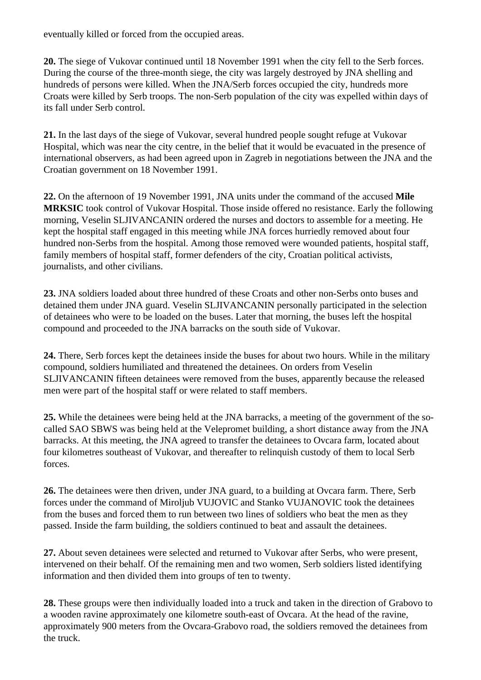eventually killed or forced from the occupied areas.

**20.** The siege of Vukovar continued until 18 November 1991 when the city fell to the Serb forces. During the course of the three-month siege, the city was largely destroyed by JNA shelling and hundreds of persons were killed. When the JNA/Serb forces occupied the city, hundreds more Croats were killed by Serb troops. The non-Serb population of the city was expelled within days of its fall under Serb control.

**21.** In the last days of the siege of Vukovar, several hundred people sought refuge at Vukovar Hospital, which was near the city centre, in the belief that it would be evacuated in the presence of international observers, as had been agreed upon in Zagreb in negotiations between the JNA and the Croatian government on 18 November 1991.

**22.** On the afternoon of 19 November 1991, JNA units under the command of the accused **Mile MRKSIC** took control of Vukovar Hospital. Those inside offered no resistance. Early the following morning, Veselin SLJIVANCANIN ordered the nurses and doctors to assemble for a meeting. He kept the hospital staff engaged in this meeting while JNA forces hurriedly removed about four hundred non-Serbs from the hospital. Among those removed were wounded patients, hospital staff, family members of hospital staff, former defenders of the city, Croatian political activists, journalists, and other civilians.

**23.** JNA soldiers loaded about three hundred of these Croats and other non-Serbs onto buses and detained them under JNA guard. Veselin SLJIVANCANIN personally participated in the selection of detainees who were to be loaded on the buses. Later that morning, the buses left the hospital compound and proceeded to the JNA barracks on the south side of Vukovar.

**24.** There, Serb forces kept the detainees inside the buses for about two hours. While in the military compound, soldiers humiliated and threatened the detainees. On orders from Veselin SLJIVANCANIN fifteen detainees were removed from the buses, apparently because the released men were part of the hospital staff or were related to staff members.

**25.** While the detainees were being held at the JNA barracks, a meeting of the government of the socalled SAO SBWS was being held at the Velepromet building, a short distance away from the JNA barracks. At this meeting, the JNA agreed to transfer the detainees to Ovcara farm, located about four kilometres southeast of Vukovar, and thereafter to relinquish custody of them to local Serb forces.

**26.** The detainees were then driven, under JNA guard, to a building at Ovcara farm. There, Serb forces under the command of Miroljub VUJOVIC and Stanko VUJANOVIC took the detainees from the buses and forced them to run between two lines of soldiers who beat the men as they passed. Inside the farm building, the soldiers continued to beat and assault the detainees.

**27.** About seven detainees were selected and returned to Vukovar after Serbs, who were present, intervened on their behalf. Of the remaining men and two women, Serb soldiers listed identifying information and then divided them into groups of ten to twenty.

**28.** These groups were then individually loaded into a truck and taken in the direction of Grabovo to a wooden ravine approximately one kilometre south-east of Ovcara. At the head of the ravine, approximately 900 meters from the Ovcara-Grabovo road, the soldiers removed the detainees from the truck.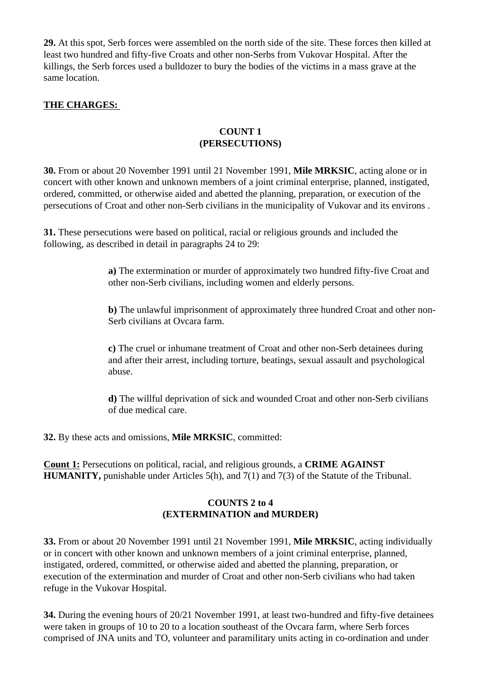**29.** At this spot, Serb forces were assembled on the north side of the site. These forces then killed at least two hundred and fifty-five Croats and other non-Serbs from Vukovar Hospital. After the killings, the Serb forces used a bulldozer to bury the bodies of the victims in a mass grave at the same location.

## **THE CHARGES:**

## **COUNT 1 (PERSECUTIONS)**

**30.** From or about 20 November 1991 until 21 November 1991, **Mile MRKSIC**, acting alone or in concert with other known and unknown members of a joint criminal enterprise, planned, instigated, ordered, committed, or otherwise aided and abetted the planning, preparation, or execution of the persecutions of Croat and other non-Serb civilians in the municipality of Vukovar and its environs .

**31.** These persecutions were based on political, racial or religious grounds and included the following, as described in detail in paragraphs 24 to 29:

> **a)** The extermination or murder of approximately two hundred fifty-five Croat and other non-Serb civilians, including women and elderly persons.

**b)** The unlawful imprisonment of approximately three hundred Croat and other non-Serb civilians at Ovcara farm.

**c)** The cruel or inhumane treatment of Croat and other non-Serb detainees during and after their arrest, including torture, beatings, sexual assault and psychological abuse.

**d)** The willful deprivation of sick and wounded Croat and other non-Serb civilians of due medical care.

**32.** By these acts and omissions, **Mile MRKSIC**, committed:

**Count 1:** Persecutions on political, racial, and religious grounds, a **CRIME AGAINST HUMANITY,** punishable under Articles 5(h), and 7(1) and 7(3) of the Statute of the Tribunal.

# **COUNTS 2 to 4 (EXTERMINATION and MURDER)**

**33.** From or about 20 November 1991 until 21 November 1991, **Mile MRKSIC**, acting individually or in concert with other known and unknown members of a joint criminal enterprise, planned, instigated, ordered, committed, or otherwise aided and abetted the planning, preparation, or execution of the extermination and murder of Croat and other non-Serb civilians who had taken refuge in the Vukovar Hospital.

**34.** During the evening hours of 20/21 November 1991, at least two-hundred and fifty-five detainees were taken in groups of 10 to 20 to a location southeast of the Ovcara farm, where Serb forces comprised of JNA units and TO, volunteer and paramilitary units acting in co-ordination and under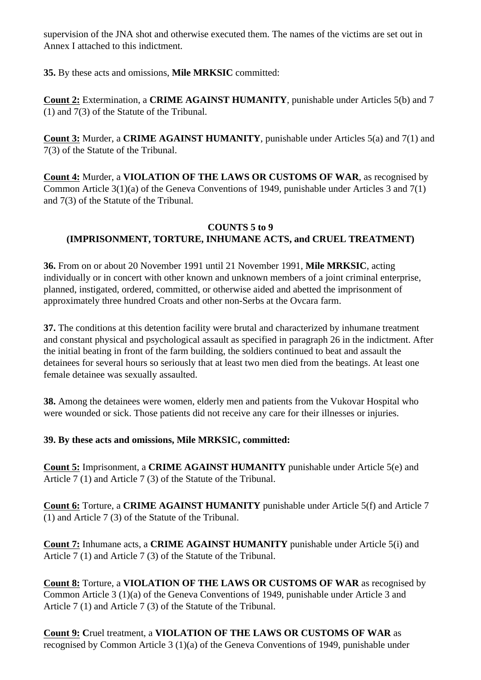supervision of the JNA shot and otherwise executed them. The names of the victims are set out in Annex I attached to this indictment.

**35.** By these acts and omissions, **Mile MRKSIC** committed:

**Count 2:** Extermination, a **CRIME AGAINST HUMANITY**, punishable under Articles 5(b) and 7 (1) and 7(3) of the Statute of the Tribunal.

**Count 3:** Murder, a **CRIME AGAINST HUMANITY**, punishable under Articles 5(a) and 7(1) and 7(3) of the Statute of the Tribunal.

**Count 4:** Murder, a **VIOLATION OF THE LAWS OR CUSTOMS OF WAR**, as recognised by Common Article 3(1)(a) of the Geneva Conventions of 1949, punishable under Articles 3 and 7(1) and 7(3) of the Statute of the Tribunal.

# **COUNTS 5 to 9 (IMPRISONMENT, TORTURE, INHUMANE ACTS, and CRUEL TREATMENT)**

**36.** From on or about 20 November 1991 until 21 November 1991, **Mile MRKSIC**, acting individually or in concert with other known and unknown members of a joint criminal enterprise, planned, instigated, ordered, committed, or otherwise aided and abetted the imprisonment of approximately three hundred Croats and other non-Serbs at the Ovcara farm.

**37.** The conditions at this detention facility were brutal and characterized by inhumane treatment and constant physical and psychological assault as specified in paragraph 26 in the indictment. After the initial beating in front of the farm building, the soldiers continued to beat and assault the detainees for several hours so seriously that at least two men died from the beatings. At least one female detainee was sexually assaulted.

**38.** Among the detainees were women, elderly men and patients from the Vukovar Hospital who were wounded or sick. Those patients did not receive any care for their illnesses or injuries.

# **39. By these acts and omissions, Mile MRKSIC, committed:**

**Count 5:** Imprisonment, a **CRIME AGAINST HUMANITY** punishable under Article 5(e) and Article 7 (1) and Article 7 (3) of the Statute of the Tribunal.

**Count 6:** Torture, a **CRIME AGAINST HUMANITY** punishable under Article 5(f) and Article 7 (1) and Article 7 (3) of the Statute of the Tribunal.

**Count 7:** Inhumane acts, a **CRIME AGAINST HUMANITY** punishable under Article 5(i) and Article 7 (1) and Article 7 (3) of the Statute of the Tribunal.

**Count 8:** Torture, a **VIOLATION OF THE LAWS OR CUSTOMS OF WAR** as recognised by Common Article 3 (1)(a) of the Geneva Conventions of 1949, punishable under Article 3 and Article 7 (1) and Article 7 (3) of the Statute of the Tribunal.

**Count 9: C**ruel treatment, a **VIOLATION OF THE LAWS OR CUSTOMS OF WAR** as recognised by Common Article 3 (1)(a) of the Geneva Conventions of 1949, punishable under